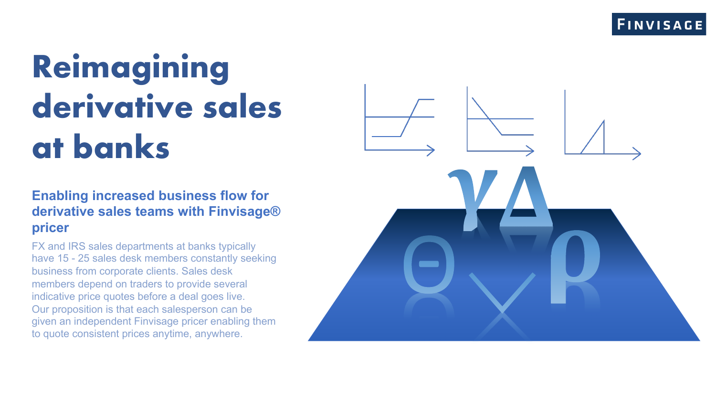# **Reimagining derivative sales at banks**

**Enabling increased business flow for derivative sales teams with Finvisage® pricer**

FX and IRS sales departments at banks typically have 15 - 25 sales desk members constantly seeking business from corporate clients. Sales desk members depend on traders to provide several indicative price quotes before a deal goes live. Our proposition is that each salesperson can be given an independent Finvisage pricer enabling them to quote consistent prices anytime, anywhere.

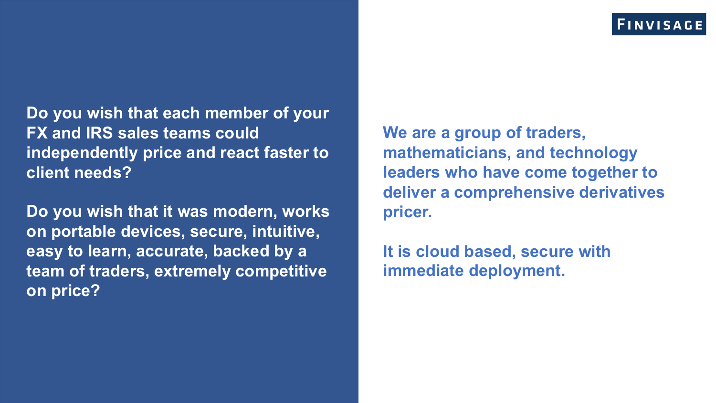**Do you wish that each member of your FX and IRS sales teams could independently price and react faster to client needs?** 

**Do you wish that it was modern, works on portable devices, secure, intuitive, easy to learn, accurate, backed by a team of traders, extremely competitive on price?**

**We are a group of traders, mathematicians, and technology leaders who have come together to deliver a comprehensive derivatives pricer.** 

**It is cloud based, secure with immediate deployment.**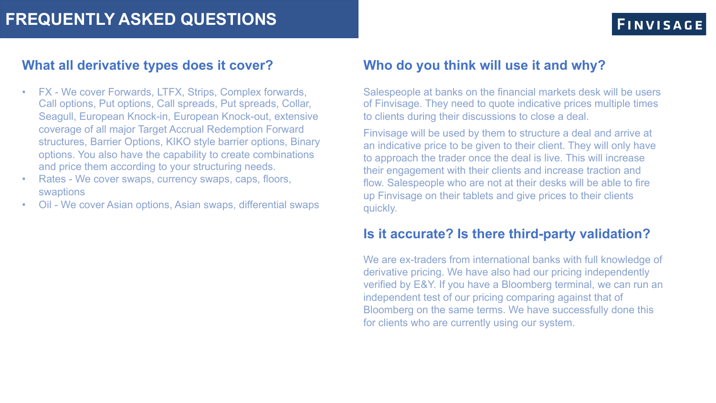#### **What all derivative types does it cover?**

- FX We cover Forwards, LTFX, Strips, Complex forwards, Call options, Put options, Call spreads, Put spreads, Collar, Seagull, European Knock-in, European Knock-out, extensive coverage of all major Target Accrual Redemption Forward structures, Barrier Options, KIKO style barrier options, Binary options. You also have the capability to create combinations and price them according to your structuring needs.
- Rates We cover swaps, currency swaps, caps, floors, swaptions
- Oil We cover Asian options, Asian swaps, differential swaps

#### **Who do you think will use it and why?**

Salespeople at banks on the financial markets desk will be users of Finvisage. They need to quote indicative prices multiple times to clients during their discussions to close a deal.

Finvisage will be used by them to structure a deal and arrive at an indicative price to be given to their client. They will only have to approach the trader once the deal is live. This will increase their engagement with their clients and increase traction and flow. Salespeople who are not at their desks will be able to fire up Finvisage on their tablets and give prices to their clients quickly.

#### **Is it accurate? Is there third-party validation?**

We are ex-traders from international banks with full knowledge of derivative pricing. We have also had our pricing independently verified by E&Y. If you have a Bloomberg terminal, we can run an independent test of our pricing comparing against that of Bloomberg on the same terms. We have successfully done this for clients who are currently using our system.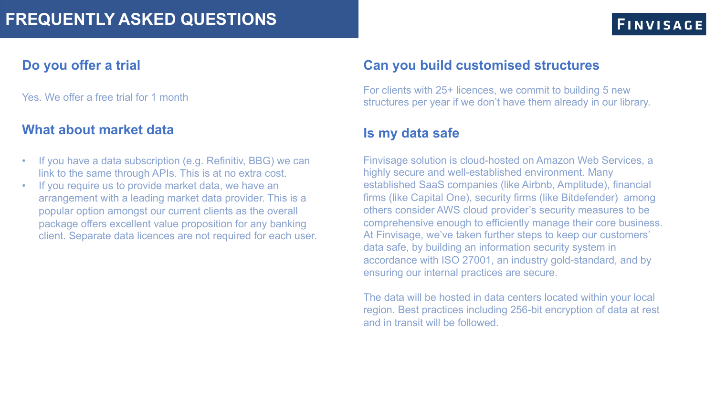### **FINVISAGE**

#### **Do you offer a trial**

Yes. We offer a free trial for 1 month

#### **What about market data**

- If you have a data subscription (e.g. Refinitiv, BBG) we can link to the same through APIs. This is at no extra cost.
- If you require us to provide market data, we have an arrangement with a leading market data provider. This is a popular option amongst our current clients as the overall package offers excellent value proposition for any banking client. Separate data licences are not required for each user.

#### **Can you build customised structures**

For clients with 25+ licences, we commit to building 5 new structures per year if we don't have them already in our library.

#### **Is my data safe**

Finvisage solution is cloud-hosted on Amazon Web Services, a highly secure and well-established environment. Many established SaaS companies (like Airbnb, Amplitude), financial firms (like Capital One), security firms (like Bitdefender) among others consider AWS cloud provider's security measures to be comprehensive enough to efficiently manage their core business. At Finvisage, we've taken further steps to keep our customers' data safe, by building an information security system in accordance with ISO 27001, an industry gold-standard, and by ensuring our internal practices are secure.

The data will be hosted in data centers located within your local region. Best practices including 256-bit encryption of data at rest and in transit will be followed.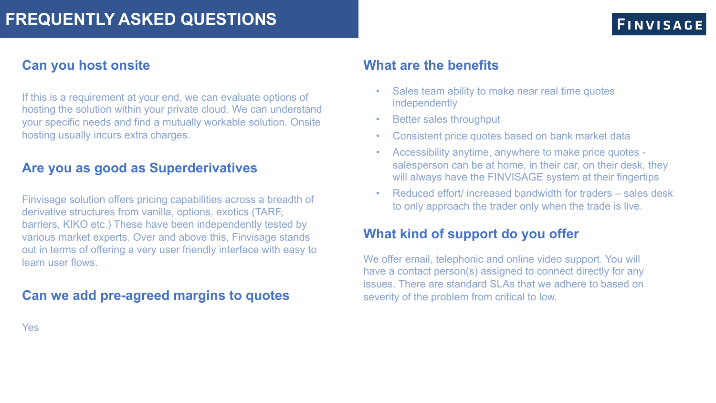#### **Can you host onsite**

If this is a requirement at your end, we can evaluate options of hosting the solution within your private cloud. We can understand your specific needs and find a mutually workable solution. Onsite hosting usually incurs extra charges.

#### **Are you as good as Superderivatives**

Finvisage solution offers pricing capabilities across a breadth of derivative structures from vanilla, options, exotics (TARF, barriers, KIKO etc.) These have been independently tested by various market experts. Over and above this, Finvisage stands out in terms of offering a very user friendly interface with easy to learn user flows.

#### **Can we add pre-agreed margins to quotes**

#### **What are the benefits**

- Sales team ability to make near real time quotes independently
- Better sales throughput
- Consistent price quotes based on bank market data
- Accessibility anytime, anywhere to make price quotes salesperson can be at home, in their car, on their desk, they will always have the FINVISAGE system at their fingertips
- Reduced effort/ increased bandwidth for traders sales desk to only approach the trader only when the trade is live.

#### **What kind of support do you offer**

We offer email, telephonic and online video support. You will have a contact person(s) assigned to connect directly for any issues. There are standard SLAs that we adhere to based on severity of the problem from critical to low.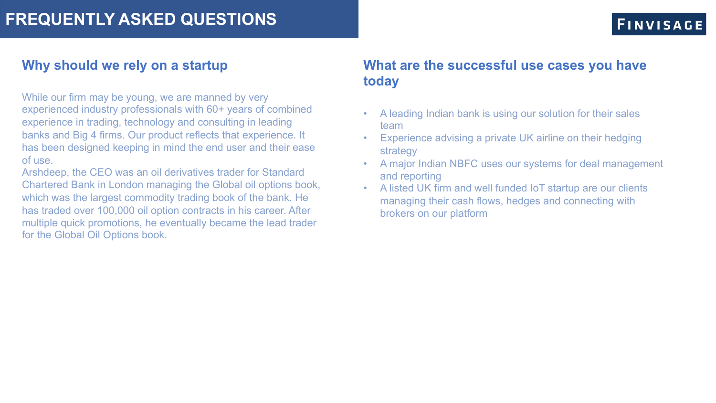#### **Why should we rely on a startup**

While our firm may be young, we are manned by very experienced industry professionals with 60+ years of combined experience in trading, technology and consulting in leading banks and Big 4 firms. Our product reflects that experience. It has been designed keeping in mind the end user and their ease of use.

Arshdeep, the CEO was an oil derivatives trader for Standard Chartered Bank in London managing the Global oil options book, which was the largest commodity trading book of the bank. He has traded over 100,000 oil option contracts in his career. After multiple quick promotions, he eventually became the lead trader for the Global Oil Options book.

#### **What are the successful use cases you have today**

- A leading Indian bank is using our solution for their sales team
- Experience advising a private UK airline on their hedging strategy
- A major Indian NBFC uses our systems for deal management and reporting
- A listed UK firm and well funded IoT startup are our clients managing their cash flows, hedges and connecting with brokers on our platform